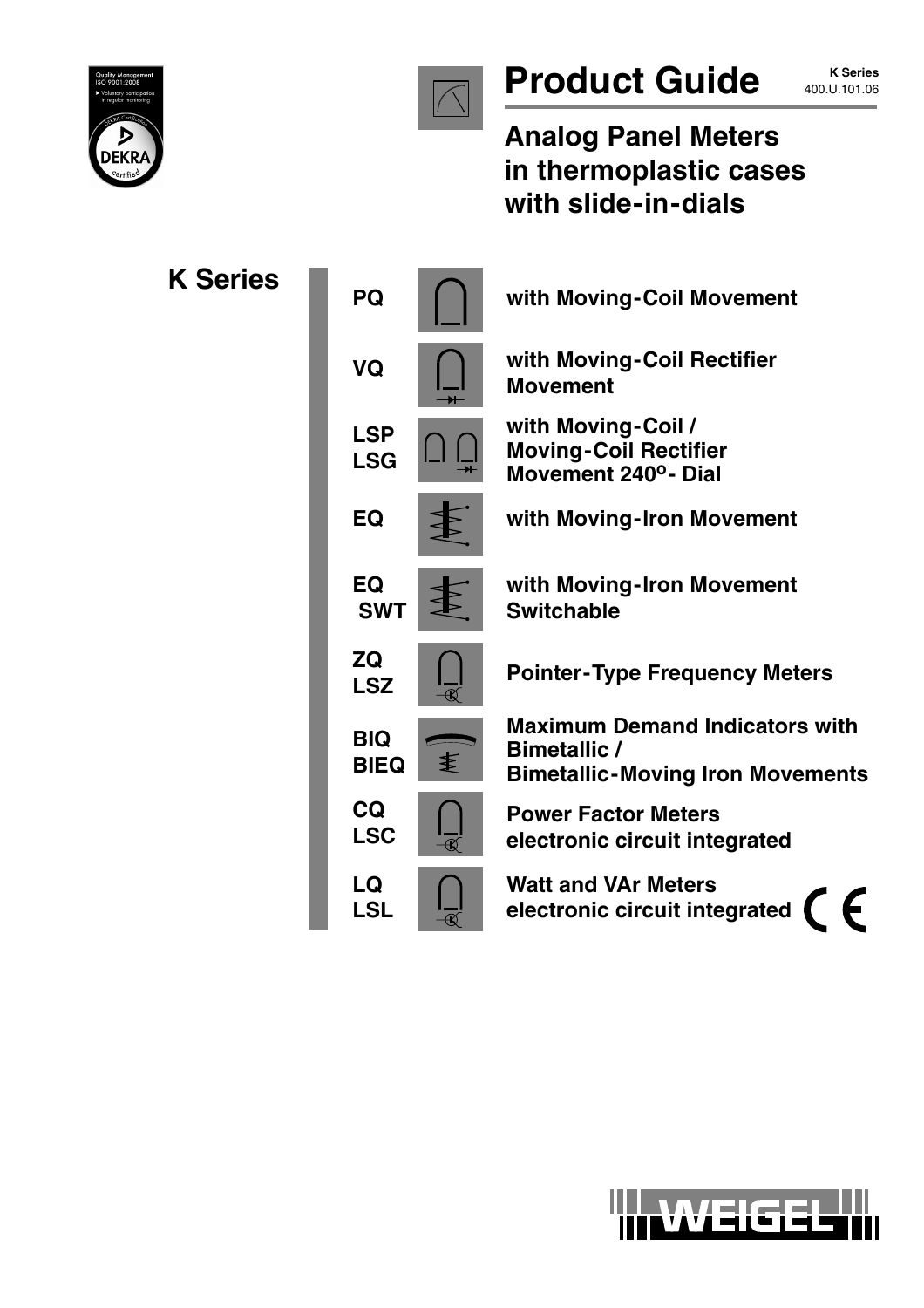



# **Product Guide K** Series

**Analog Panel Meters in thermoplastic cases with slide-in-dials**

| <b>K Series</b> | PQ                             | with Moving-Coil Movement                                                                               |
|-----------------|--------------------------------|---------------------------------------------------------------------------------------------------------|
|                 | VQ                             | with Moving-Coil Rectifier<br><b>Movement</b>                                                           |
|                 | <b>LSP</b><br><b>LSG</b>       | with Moving-Coil /<br><b>Moving-Coil Rectifier</b><br>Movement 240°- Dial                               |
|                 | EQ                             | with Moving-Iron Movement                                                                               |
|                 | EQ<br><b>SWT</b>               | with Moving-Iron Movement<br><b>Switchable</b>                                                          |
|                 | ZQ<br><b>LSZ</b>               | <b>Pointer-Type Frequency Meters</b>                                                                    |
|                 | <b>BIQ</b><br>€<br><b>BIEQ</b> | <b>Maximum Demand Indicators with</b><br><b>Bimetallic /</b><br><b>Bimetallic-Moving Iron Movements</b> |
|                 | <b>CQ</b><br><b>LSC</b>        | <b>Power Factor Meters</b><br>electronic circuit integrated                                             |
|                 | LQ<br><b>LSL</b>               | <b>Watt and VAr Meters</b><br>electronic circuit integrated                                             |

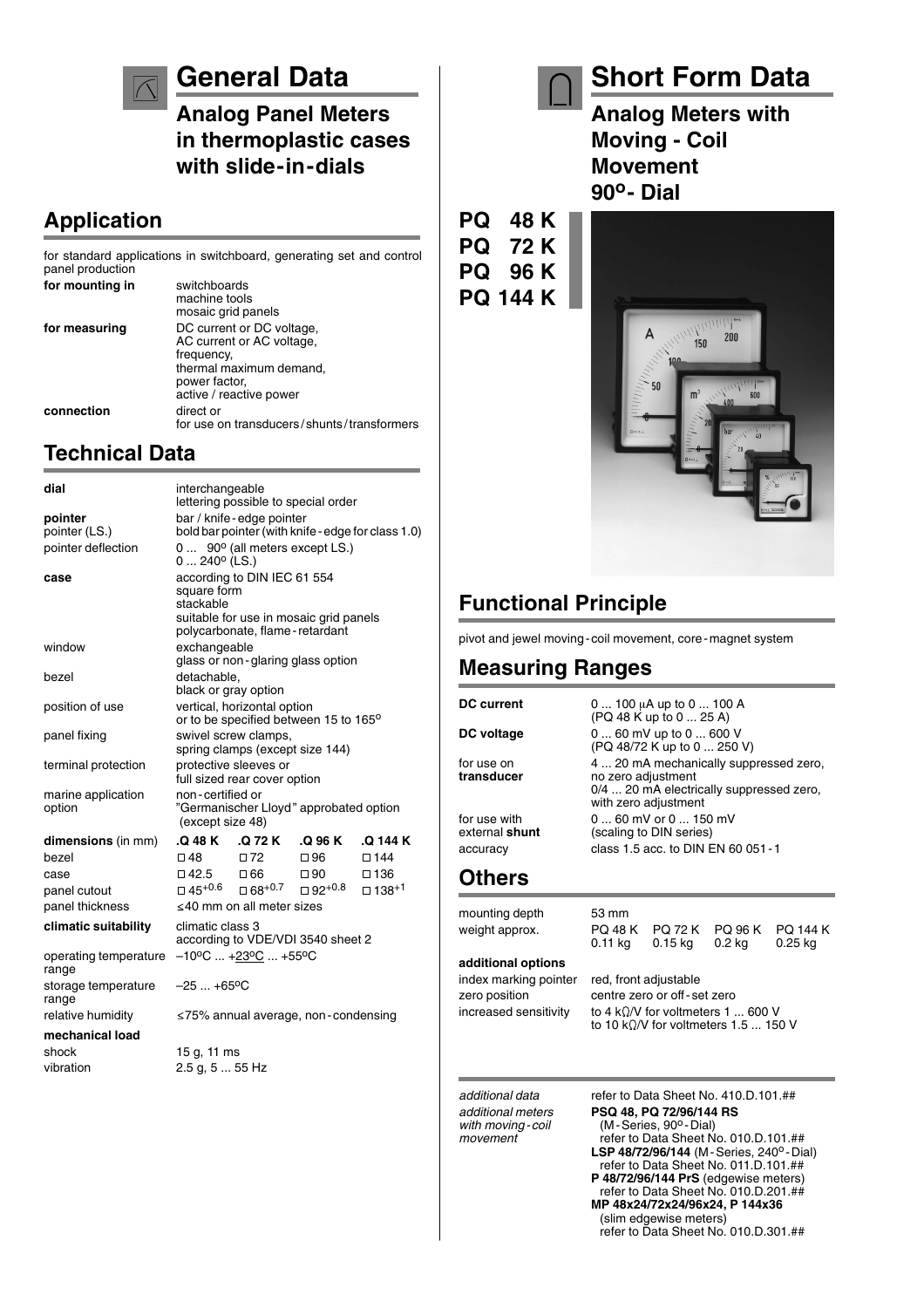## **General Data**

**Analog Panel Meters in thermoplastic cases with slide-in-dials**

for use on transducers/shunts/transformers

#### **Application**

for standard applications in switchboard, generating set and control panel production **for mounting in** switchboards machine tools mosaic grid panels for measuring **DC** current or DC voltage, AC current or AC voltage, frequency. thermal maximum demand, power factor, active / reactive power

### **Technical Data**

**connection** direct or

| dial                           | interchangeable<br>lettering possible to special order                                            |                                           |                                   |                                                    |
|--------------------------------|---------------------------------------------------------------------------------------------------|-------------------------------------------|-----------------------------------|----------------------------------------------------|
| pointer                        | bar / knife-edge pointer                                                                          |                                           |                                   |                                                    |
| pointer (LS.)                  |                                                                                                   |                                           |                                   | bold bar pointer (with knife - edge for class 1.0) |
| pointer deflection             | $0240^{\circ}$ (LS.)                                                                              | $0$ 90 $^{\circ}$ (all meters except LS.) |                                   |                                                    |
| case                           | according to DIN IEC 61 554<br>square form<br>stackable<br>suitable for use in mosaic grid panels |                                           |                                   |                                                    |
|                                |                                                                                                   | polycarbonate, flame-retardant            |                                   |                                                    |
| window                         | exchangeable                                                                                      |                                           | glass or non-glaring glass option |                                                    |
| bezel                          | detachable.<br>black or gray option                                                               |                                           |                                   |                                                    |
| position of use                | vertical, horizontal option<br>or to be specified between 15 to 165°                              |                                           |                                   |                                                    |
| panel fixing                   | swivel screw clamps,<br>spring clamps (except size 144)                                           |                                           |                                   |                                                    |
| terminal protection            | protective sleeves or<br>full sized rear cover option                                             |                                           |                                   |                                                    |
| marine application<br>option   | non-certified or<br>"Germanischer Lloyd" approbated option<br>(except size 48)                    |                                           |                                   |                                                    |
| dimensions (in mm)             | .Q 48 K .Q 72 K                                                                                   |                                           | .Q 96 K                           | .Q 144 K                                           |
| bezel                          | □ 48                                                                                              | $\square$ 72                              | $\square$ 96                      | $\square$ 144                                      |
| case                           | $\square$ 42.5                                                                                    | □ 66                                      | $\Box$ 90                         | $\square$ 136                                      |
| panel cutout                   | $\Box$ 45+0.6                                                                                     | $\square$ 68+0.7                          | $□ 92+0.8$                        | $\Box$ 138 <sup>+1</sup>                           |
| panel thickness                |                                                                                                   | ≤40 mm on all meter sizes                 |                                   |                                                    |
| climatic suitability           | climatic class 3<br>according to VDE/VDI 3540 sheet 2                                             |                                           |                                   |                                                    |
| operating temperature<br>range | $-10^{\circ}$ C  +23°C  +55°C                                                                     |                                           |                                   |                                                    |
| storage temperature<br>range   | $-25+65$ °C                                                                                       |                                           |                                   |                                                    |
| relative humidity              | $\leq$ 75% annual average, non-condensing                                                         |                                           |                                   |                                                    |
| mechanical load                |                                                                                                   |                                           |                                   |                                                    |
| shock                          | 15 g, 11 ms                                                                                       |                                           |                                   |                                                    |
| vibration                      | 2.5 g, 5  55 Hz                                                                                   |                                           |                                   |                                                    |

## **Short Form Data**

**Analog Meters with Moving - Coil Movement 90o- Dial**

**PQ 48 K PQ 72 K PQ 96 K PQ 144 K**



### **Functional Principle**

pivot and jewel moving-coil movement, core-magnet system

#### **Measuring Ranges**

| <b>DC current</b>                                 | 0  100 µA up to 0  100 A<br>(PQ 48 K up to 0  25 A)                                                                              |
|---------------------------------------------------|----------------------------------------------------------------------------------------------------------------------------------|
| DC voltage                                        | 0  60 mV up to 0  600 V<br>(PQ 48/72 K up to 0  250 V)                                                                           |
| for use on<br>transducer                          | 4  20 mA mechanically suppressed zero,<br>no zero adjustment<br>0/4  20 mA electrically suppressed zero,<br>with zero adjustment |
| for use with<br>external <b>shunt</b><br>accuracy | 0  60 mV or 0  150 mV<br>(scaling to DIN series)<br>class 1.5 acc. to DIN EN 60 051-1                                            |
| Others                                            |                                                                                                                                  |

#### **Others**

mounting depth 53 mm weight approx. PQ 48 K PQ 72 K PQ 96 K PQ 144 K<br>0.11 kg 0.15 kg 0.2 kg 0.25 kg 0.11 kg 0.15 kg **additional options** index marking pointer red, front adjustable

zero position centre zero or off-set zero increased sensitivity to 4 k $\Omega$ /V for voltmeters 1 ... 600 V to 10 k $\Omega$ /V for voltmeters 1.5  $\ldots$  150 V

*additional data* refer to Data Sheet No. 410.D.101.## *additional meters* **PSQ 48, PQ 72/96/144 RS** *with moving-coil* (M-Series, 90<sup>o</sup>-Dial)<br> *movement* refer to Data Sheet N *movement* refer to Data Sheet No. 010.D.101.## **LSP 48/72/96/144** (M-Series, 240<sup>o</sup>-Dial) refer to Data Sheet No. 011.D.101.## **P 48/72/96/144 PrS** (edgewise meters) refer to Data Sheet No. 010.D.201.## **MP 48x24/72x24/96x24, P 144x36** (slim edgewise meters) refer to Data Sheet No. 010.D.301.##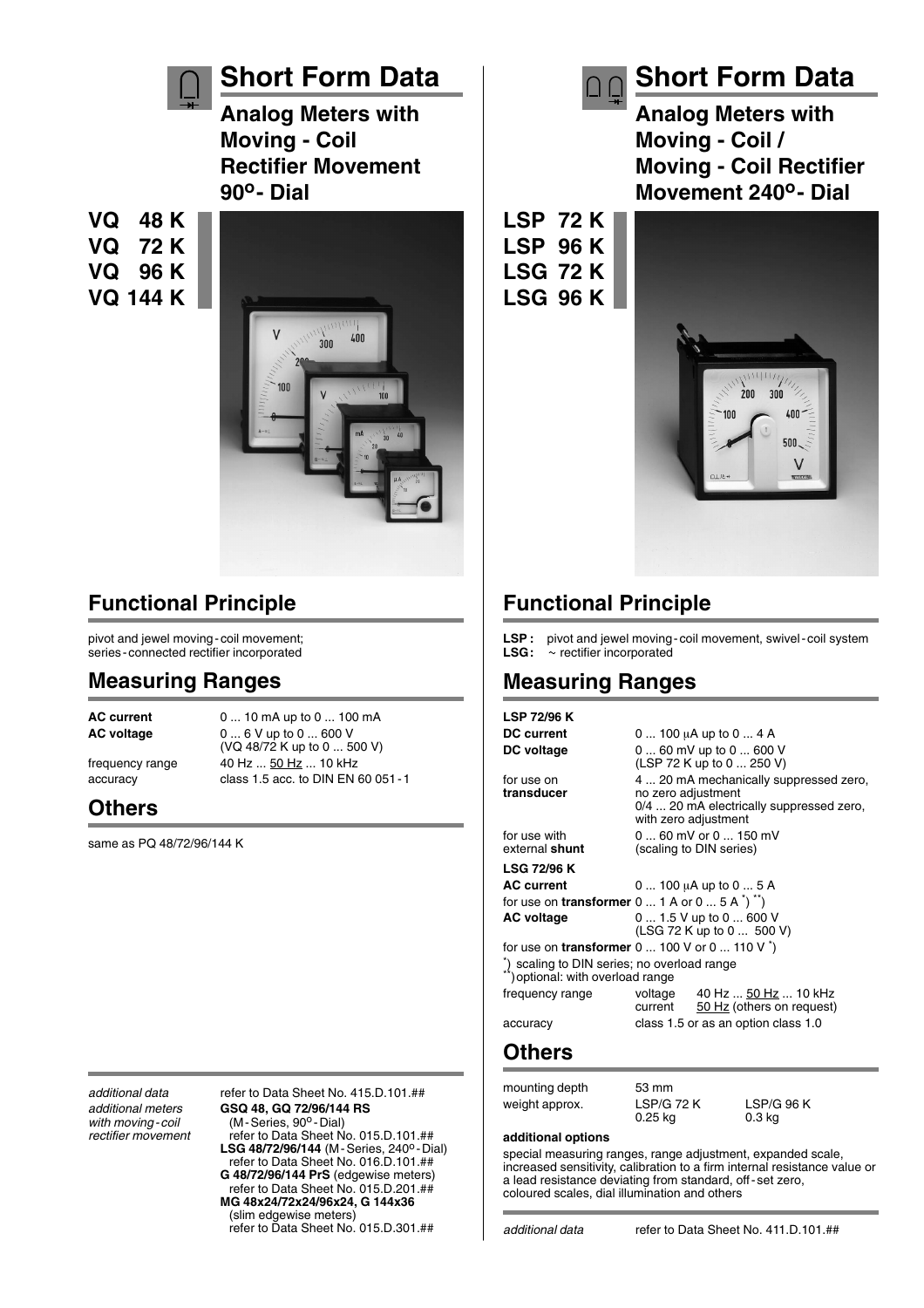

### **Functional Principle**

pivot and jewel moving-coil movement; series-connected rectifier incorporated

#### **Measuring Ranges**

**AC current** 0 ... 10 mA up to 0 ... 100 mA **AC voltage** 0 ... 6 V up to 0 ... 600 V (VQ 48/72 K up to 0 ... 500 V) frequency range 40 Hz ... 50 Hz ... 10 kHz accuracy class 1.5 acc. to DIN EN 60 051-1

**Others**

same as PO 48/72/96/144 K

*additional data* refer to Data Sheet No. 415.D.101.## *additional meters* **GSQ 48, GQ 72/96/144 RS** with moving-coil (M-Series, 90<sup>o</sup>-Dial)<br>
rectifier movement refer to Data Sheet N *rectifier movement* refer to Data Sheet No. 015.D.101.## **LSG 48/72/96/144** (M-Series, 240o -Dial) refer to Data Sheet No. 016.D.101.## **G 48/72/96/144 PrS** (edgewise meters) refer to Data Sheet No. 015.D.201.## **MG 48x24/72x24/96x24, G 144x36** (slim edgewise meters) refer to Data Sheet No. 015.D.301.##

**Short Form Data Analog Meters with Moving - Coil / Moving - Coil Rectifier Movement 240o- Dial**

**LSP 72 K LSP 96 K LSG 72 K**

**LSG 96 K**



## **Functional Principle**

LSP : pivot and jewel moving-coil movement, swivel-coil system<br>LSG :  $\sim$  rectifier incorporated  $\sim$  rectifier incorporated

### **Measuring Ranges**

**LSP 72/96 K DC current** 0 ... 100 µA up to 0 ... 4 A **DC voltage** 0 ... 60 mV up to 0 ... 600 V (LSP 72 K up to 0 ... 250 V) for use on 4 ... 20 mA mechanically suppressed zero,<br>transducer on zero adjustment **transducer** no zero adjustment 0/4 ... 20 mA electrically suppressed zero, with zero adjustment for use with 0 ... 60 mV or 0 ... 150 mV<br>external **shunt** (scaling to DIN series) (scaling to DIN series) **LSG 72/96 K AC current** 0 ... 100  $\mu$ A up to 0 ... 5 A for use on **transformer**  $0 \dots 1$  A or  $0 \dots 5$  A  $\prime$ <sup>\*</sup>)<sup>\*\*</sup>) **AC voltage** 0 ... 1.5 V up to 0 ... 600 V (LSG 72 K up to 0 ... 500 V) for use on **transformer** 0 ... 100 V or 0 ... 110 V \*) \*) scaling to DIN series; no overload range \*) optional: with overload range frequency range voltage 40 Hz ... 50 Hz ... 10 kHz<br>current 50 Hz (others on request) 50 Hz (others on request) accuracy class 1.5 or as an option class 1.0

### **Others**

mounting depth 53 mm weight approx. LSP/G 72 K LSP/G 96 K<br>0.25 kg 0.3 kg 0.3 kg

#### **additional options**

special measuring ranges, range adjustment, expanded scale, increased sensitivity, calibration to a firm internal resistance value or a lead resistance deviating from standard, off-set zero, coloured scales, dial illumination and others

 $0.25$  kg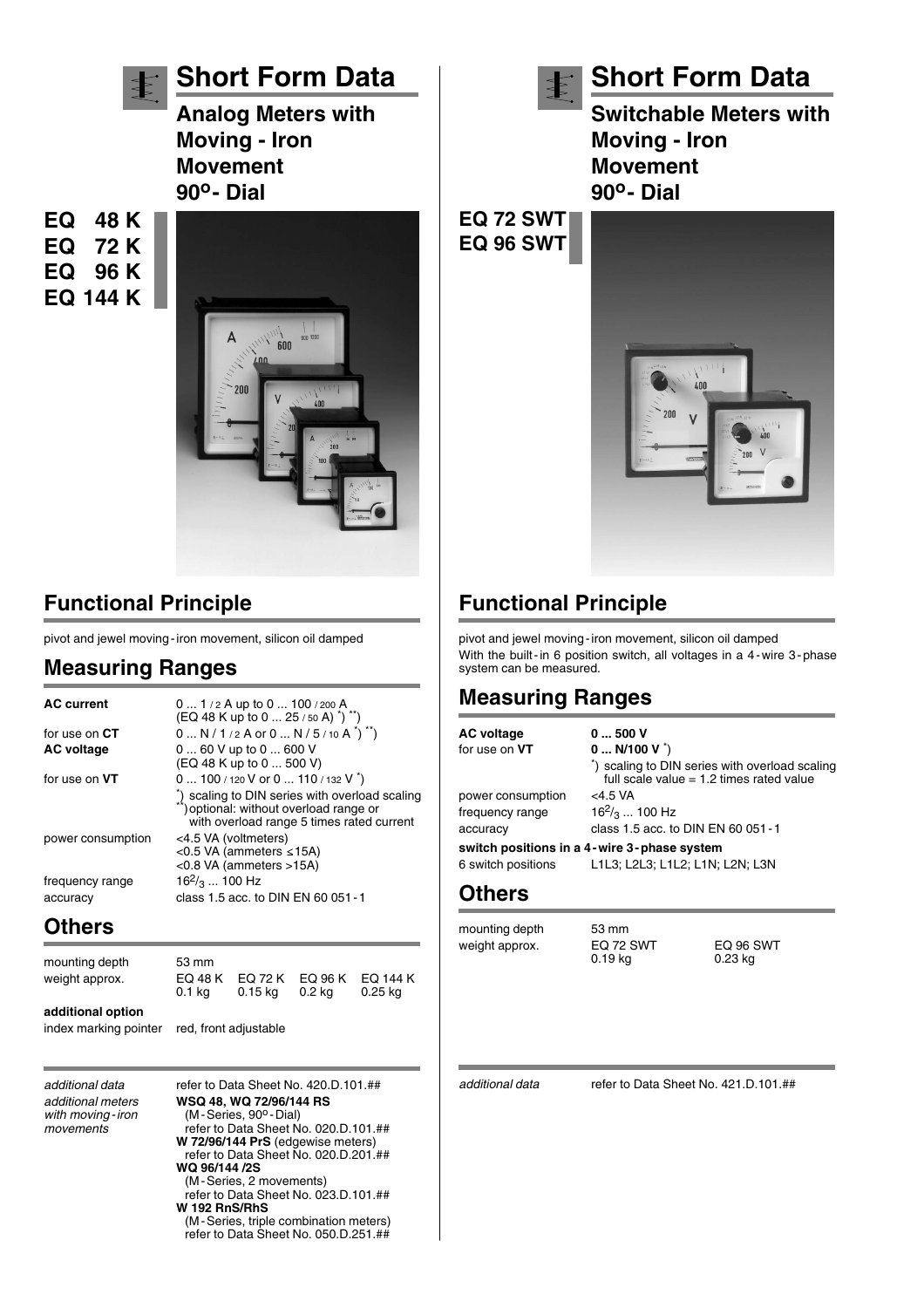

**Short Form Data**

**Analog Meters with Moving - Iron Movement 90o- Dial**

**EQ 48 K EQ 72 K EQ 96 K EQ 144 K**



### **Functional Principle**

pivot and jewel moving-iron movement, silicon oil damped

### **Measuring Ranges**

| <b>AC current</b>           | 0  1/2 A up to 0  100/200 A<br>(EQ 48 K up to 0  25 / 50 A) *) **)                                                                                                                       |
|-----------------------------|------------------------------------------------------------------------------------------------------------------------------------------------------------------------------------------|
| for use on CT               | $0 N/1/2 A$ or $0 N/5/10 A^{\dagger}$ <sup>*</sup> )                                                                                                                                     |
| <b>AC voltage</b>           | 0  60 V up to 0  600 V<br>(EQ 48 K up to 0  500 V)                                                                                                                                       |
| for use on VT               | 0  100 / 120 V or 0  110 / 132 V $\tilde{ }$ )<br>*) scaling to DIN series with overload scaling<br>**) optional: without overload range or<br>with overload range 5 times rated current |
| power consumption           | <4.5 VA (voltmeters)<br><0.5 VA (ammeters $\leq$ 15A)<br><0.8 VA (ammeters >15A)                                                                                                         |
| frequency range<br>accuracy | $16^{2}/_{3}$ 100 Hz<br>class 1.5 acc. to DIN EN 60 051 - 1                                                                                                                              |

### **Others**

| mounting depth<br>weight approx. | 53 mm<br>EQ 48 K<br>0.1 ka | EQ 72 K<br>0.15 kg | EQ 96 K<br>0.2 ka | EQ 144 K<br>$0.25$ kg |
|----------------------------------|----------------------------|--------------------|-------------------|-----------------------|
| additional option                |                            |                    |                   |                       |

index marking pointer red, front adjustable

*additional data* refer to Data Sheet No. 420.D.101.## *additional meters* **WSQ 48, WQ 72/96/144 RS** *with moving-iron* (M-Series, 90<sup>o</sup>-Dial)<br> *movements* refer to Data Sheet N *movements* refer to Data Sheet No. 020.D.101.## **W 72/96/144 PrS** (edgewise meters) refer to Data Sheet No. 020.D.201.## **WQ 96/144 /2S** (M-Series, 2 movements) refer to Data Sheet No. 023.D.101.## **W 192 RnS/RhS** (M-Series, triple combination meters) refer to Data Sheet No. 050.D.251.##



## **Short Form Data**

**Switchable Meters with Moving - Iron Movement 90o- Dial**

**EQ 72 SWT EQ 96 SWT**



## **Functional Principle**

pivot and jewel moving-iron movement, silicon oil damped With the built-in 6 position switch, all voltages in a 4-wire 3-phase system can be measured.

### **Measuring Ranges**

| <b>AC voltage</b><br>for use on VT | 0500V<br>$0$ N/100 V $\dot{ }$ )                                                             |
|------------------------------------|----------------------------------------------------------------------------------------------|
|                                    | *) scaling to DIN series with overload scaling<br>full scale value $= 1.2$ times rated value |
| power consumption                  | $<$ 4.5 VA                                                                                   |
| frequency range                    | $16^{2}/_3$ 100 Hz                                                                           |
| accuracy                           | class 1.5 acc. to DIN EN 60 051 - 1                                                          |
| 6 switch positions                 | switch positions in a 4-wire 3-phase system<br>L1L3; L2L3; L1L2; L1N; L2N; L3N               |

 $0.19$  kg

#### **Others**

mounting depth 53 mm

weight approx. EQ 72 SWT EQ 96 SWT<br>0.19 kg 0.23 kg

*additional data* refer to Data Sheet No. 421.D.101.##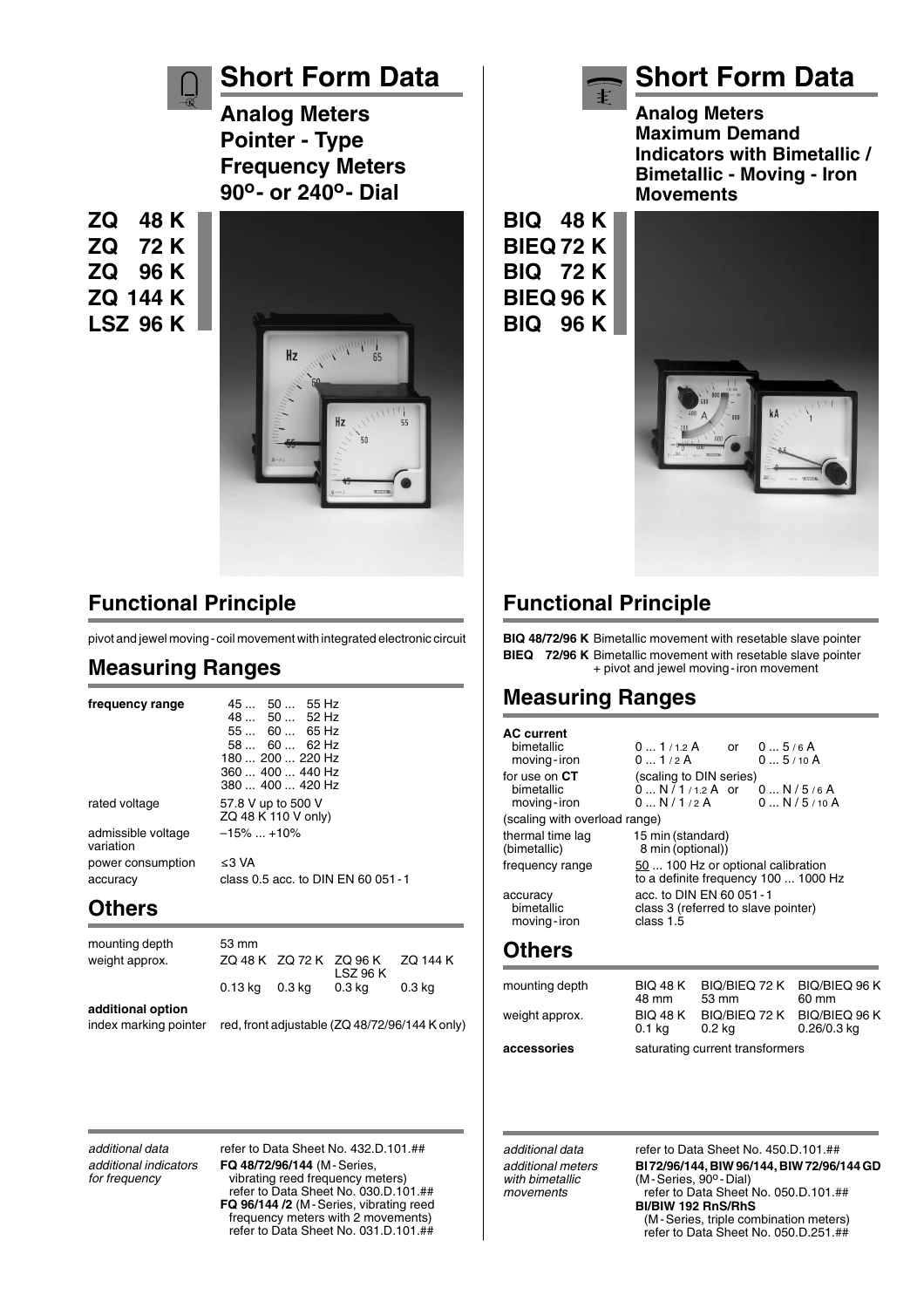

## **Short Form Data**

**Analog Meters Pointer - Type Frequency Meters 90o- or 240o- Dial**

**ZQ 48 K ZQ 72 K ZQ 96 K ZQ 144 K LSZ 96 K**



### **Functional Principle**

pivot and jewel moving-coil movement with integrated electronic circuit

### **Measuring Ranges**

**frequency range** 45 ... 50 ... 55 Hz

admissible voltage –15% ... +10% variation power consumption  $\leq 3$  VA accuracy class 0.5 acc. to DIN EN 60 051-1

48 ... 50 ... 52 Hz 55 ... 60 ... 65 Hz 58 ... 60 ... 62 Hz 180 ... 200 ... 220 Hz 360 ... 400 ... 440 Hz 380 ... 400 ... 420 Hz rated voltage 57.8 V up to 500 V ZQ 48 K 110 V only)

### **Others**

mounting depth 53 mm weight approx. ZQ 48 K ZQ 72 K ZQ 96 K ZQ 144 K LSZ 96 K 0.13 kg 0.3 kg 0.3 kg 0.3 kg **additional option** index marking pointer red, front adjustable (ZQ 48/72/96/144 K only)

*additional data* refer to Data Sheet No. 432.D.101.## *additional indicators* **FQ 48/72/96/144** (M-Series, *for frequency* vibrating reed frequency meters) refer to Data Sheet No. 030.D.101.## **FQ 96/144 /2** (M-Series, vibrating reed frequency meters with 2 movements) refer to Data Sheet No. 031.D.101.##

## **Short Form Data**

**Analog Meters Maximum Demand Indicators with Bimetallic / Bimetallic - Moving - Iron Movements**

**BIQ 48 K BIEQ 72 K BIQ 72 K BIEQ 96 K BIQ 96 K**



## **Functional Principle**

**BIQ 48/72/96 K** Bimetallic movement with resetable slave pointer **BIEQ 72/96 K** Bimetallic movement with resetable slave pointer + pivot and jewel moving-iron movement

### **Measuring Ranges**

| <b>Others</b><br>mounting depth                |                                                                               |                 | BIQ 48 K BIQ/BIEQ 72 K BIQ/BIEQ 96 K |  |
|------------------------------------------------|-------------------------------------------------------------------------------|-----------------|--------------------------------------|--|
| accuracy<br>bimetallic<br>moving-iron          | acc. to DIN EN 60 051 - 1<br>class 3 (referred to slave pointer)<br>class 1.5 |                 |                                      |  |
| frequency range                                | 50  100 Hz or optional calibration<br>to a definite frequency 100  1000 Hz    |                 |                                      |  |
| thermal time lag<br>(bimetallic)               | 15 min (standard)<br>8 min (optional))                                        |                 |                                      |  |
| moving-iron<br>(scaling with overload range)   | 0N/1/2A                                                                       |                 | 0N/5/10A                             |  |
| for use on CT<br>bimetallic                    | (scaling to DIN series)<br>$0 \dots N^{7} 1_{12} A$ or $0 \dots N/5$ /6 A     |                 |                                      |  |
| <b>AC</b> current<br>bimetallic<br>moving-iron | $01/1.2$ A or<br>01/2A                                                        | 05/6A<br>05/10A |                                      |  |

| mounting depth | <b>BIQ 48 K</b><br>48 mm  | BIQ/BIEQ 72 K BIQ/BIEQ 96 K<br>53 mm | 60 mm                          |  |
|----------------|---------------------------|--------------------------------------|--------------------------------|--|
| weight approx. | <b>BIQ 48 K</b><br>0.1 kg | BIQ/BIEQ 72 K<br>0.2 ka              | BIQ/BIEQ 96 K<br>$0.26/0.3$ kg |  |
| accessories    |                           | saturating current transformers      |                                |  |

*additional data* refer to Data Sheet No. 450.D.101.## *additional meters* **BI 72/96/144, BIW 96/144, BIW 72/96/144 GD** *(M-Series, 90<sup>o</sup>-Dial) movements* refer to Data Sheet No. 050.D.101.## **BI/BIW 192 RnS/RhS** (M-Series, triple combination meters) refer to Data Sheet No. 050.D.251.##